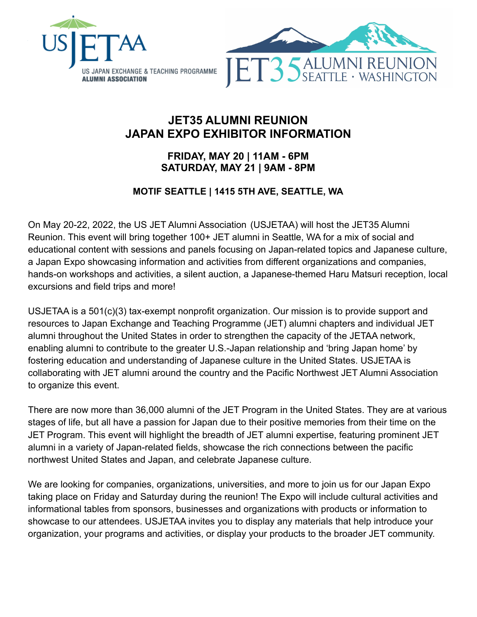

# **JET35 ALUMNI REUNION JAPAN EXPO EXHIBITOR INFORMATION**

# **FRIDAY, MAY 20 | 11AM - 6PM SATURDAY, MAY 21 | 9AM - 8PM**

# **MOTIF SEATTLE | 1415 5TH AVE, SEATTLE, WA**

On May 20-22, 2022, the US JET Alumni Association (USJETAA) will host the JET35 Alumni Reunion. This event will bring together 100+ JET alumni in Seattle, WA for a mix of social and educational content with sessions and panels focusing on Japan-related topics and Japanese culture, a Japan Expo showcasing information and activities from different organizations and companies, hands-on workshops and activities, a silent auction, a Japanese-themed Haru Matsuri reception, local excursions and field trips and more!

USJETAA is a 501(c)(3) tax-exempt nonprofit organization. Our mission is to provide support and resources to Japan Exchange and Teaching Programme (JET) alumni chapters and individual JET alumni throughout the United States in order to strengthen the capacity of the JETAA network, enabling alumni to contribute to the greater U.S.-Japan relationship and 'bring Japan home' by fostering education and understanding of Japanese culture in the United States. USJETAA is collaborating with JET alumni around the country and the Pacific Northwest JET Alumni Association to organize this event.

There are now more than 36,000 alumni of the JET Program in the United States. They are at various stages of life, but all have a passion for Japan due to their positive memories from their time on the JET Program. This event will highlight the breadth of JET alumni expertise, featuring prominent JET alumni in a variety of Japan-related fields, showcase the rich connections between the pacific northwest United States and Japan, and celebrate Japanese culture.

We are looking for companies, organizations, universities, and more to join us for our Japan Expo taking place on Friday and Saturday during the reunion! The Expo will include cultural activities and informational tables from sponsors, businesses and organizations with products or information to showcase to our attendees. USJETAA invites you to display any materials that help introduce your organization, your programs and activities, or display your products to the broader JET community.